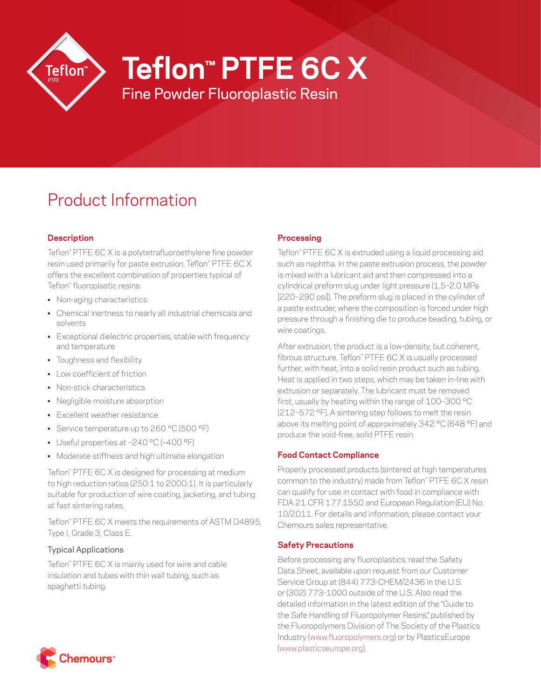

**Teflon™ PTFE 6C X**

Fine Powder Fluoroplastic Resin

# Product Information

## **Description**

Teflon™ PTFE 6C X is a polytetrafluoroethylene fine powder resin used primarily for paste extrusion. Teflon™ PTFE 6C X offers the excellent combination of properties typical of Teflon™ fluoroplastic resins:

- Non-aging characteristics
- Chemical inertness to nearly all industrial chemicals and solvents
- Exceptional dielectric properties, stable with frequency and temperature
- Toughness and flexibility
- Low coefficient of friction
- Non-stick characteristics
- Negligible moisture absorption
- Excellent weather resistance
- Service temperature up to 260 °C (500 °F)
- Useful properties at –240 °C (–400 °F)
- Moderate stiffness and high ultimate elongation

Teflon™ PTFE 6C X is designed for processing at medium to high reduction ratios (250:1 to 2000:1). It is particularly suitable for production of wire coating, jacketing, and tubing at fast sintering rates.

Teflon™ PTFE 6C X meets the requirements of ASTM D4895, Type I, Grade 3, Class E.

## Typical Applications

Teflon™ PTFE 6C X is mainly used for wire and cable insulation and tubes with thin wall tubing, such as spaghetti tubing.

## **Processing**

Teflon™ PTFE 6C X is extruded using a liquid processing aid such as naphtha. In the paste extrusion process, the powder is mixed with a lubricant aid and then compressed into a cylindrical preform slug under light pressure (1.5–2.0 MPa [220–290 psi]). The preform slug is placed in the cylinder of a paste extruder, where the composition is forced under high pressure through a finishing die to produce beading, tubing, or wire coatings.

After extrusion, the product is a low-density, but coherent, fibrous structure. Teflon™ PTFE 6C X is usually processed further, with heat, into a solid resin product such as tubing. Heat is applied in two steps, which may be taken in-line with extrusion or separately. The lubricant must be removed first, usually by heating within the range of 100–300 °C (212–572 °F). A sintering step follows to melt the resin above its melting point of approximately 342 °C (648 °F) and produce the void-free, solid PTFE resin.

## **Food Contact Compliance**

Properly processed products (sintered at high temperatures common to the industry) made from Teflon™ PTFE 6C X resin can qualify for use in contact with food in compliance with FDA 21 CFR 177.1550 and European Regulation (EU) No. 10/2011. For details and information, please contact your Chemours sales representative.

## **Safety Precautions**

Before processing any fluoroplastics, read the Safety Data Sheet, available upon request from our Customer Service Group at (844) 773-CHEM/2436 in the U.S. or (302) 773-1000 outside of the U.S. Also read the detailed information in the latest edition of the "Guide to the Safe Handling of Fluoropolymer Resins," published by the Fluoropolymers Division of The Society of the Plastics Industry ([www.fluoropolymers.org](http://www.fluoropolymers.org)) or by PlasticsEurope [\(www.plasticseurope.org](http://www.plasticseurope.org)).